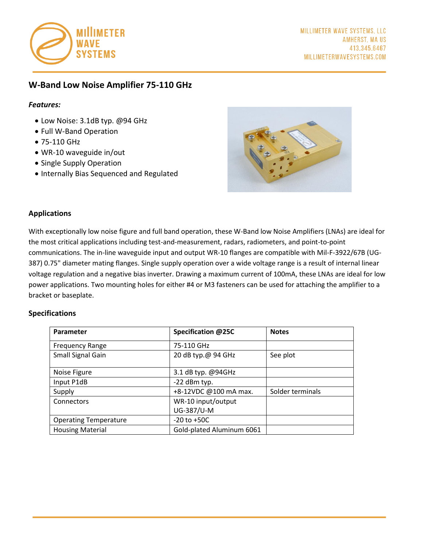

# **W-Band Low Noise Amplifier 75-110 GHz**

# *Features:*

- Low Noise: 3.1dB typ. @94 GHz
- Full W-Band Operation
- 75-110 GHz
- WR-10 waveguide in/out
- Single Supply Operation
- Internally Bias Sequenced and Regulated



## **Applications**

With exceptionally low noise figure and full band operation, these W-Band low Noise Amplifiers (LNAs) are ideal for the most critical applications including test-and-measurement, radars, radiometers, and point-to-point communications. The in-line waveguide input and output WR-10 flanges are compatible with Mil-F-3922/67B (UG-387) 0.75" diameter mating flanges. Single supply operation over a wide voltage range is a result of internal linear voltage regulation and a negative bias inverter. Drawing a maximum current of 100mA, these LNAs are ideal for low power applications. Two mounting holes for either #4 or M3 fasteners can be used for attaching the amplifier to a bracket or baseplate.

#### **Specifications**

| Parameter                    | Specification @25C        | <b>Notes</b>     |
|------------------------------|---------------------------|------------------|
| <b>Frequency Range</b>       | 75-110 GHz                |                  |
| Small Signal Gain            | 20 dB typ.@ 94 GHz        | See plot         |
| Noise Figure                 | 3.1 dB typ. @94GHz        |                  |
| Input P1dB                   | -22 dBm typ.              |                  |
| Supply                       | +8-12VDC @100 mA max.     | Solder terminals |
| Connectors                   | WR-10 input/output        |                  |
|                              | UG-387/U-M                |                  |
| <b>Operating Temperature</b> | $-20$ to $+50C$           |                  |
| <b>Housing Material</b>      | Gold-plated Aluminum 6061 |                  |